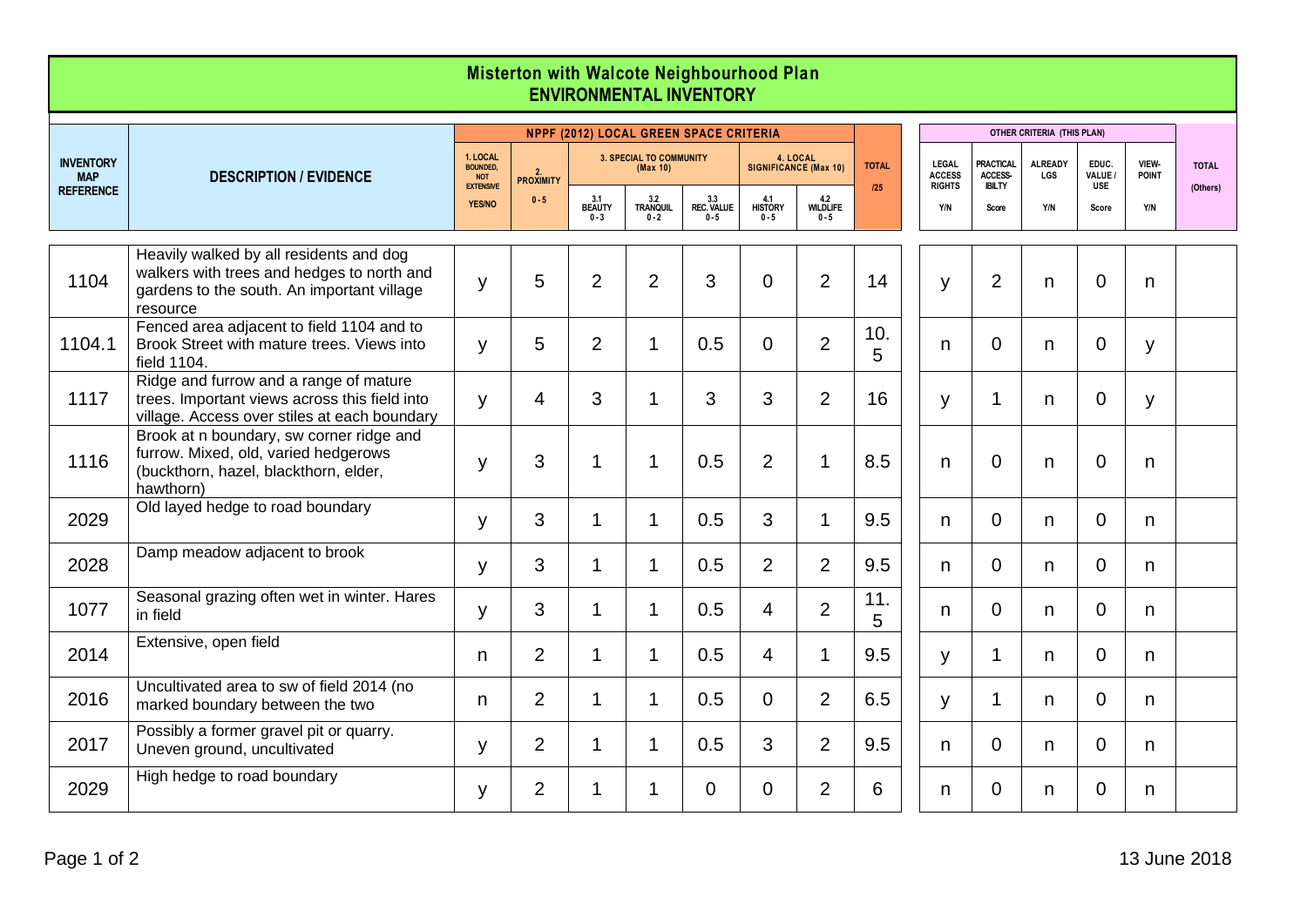| Misterton with Walcote Neighbourhood Plan<br><b>ENVIRONMENTAL INVENTORY</b> |                                                                                                                                                 |                                                                                |                                               |                                            |                            |                              |                                   |                            |                     |  |                                                |                                              |                              |                                |                       |              |  |  |
|-----------------------------------------------------------------------------|-------------------------------------------------------------------------------------------------------------------------------------------------|--------------------------------------------------------------------------------|-----------------------------------------------|--------------------------------------------|----------------------------|------------------------------|-----------------------------------|----------------------------|---------------------|--|------------------------------------------------|----------------------------------------------|------------------------------|--------------------------------|-----------------------|--------------|--|--|
|                                                                             |                                                                                                                                                 |                                                                                | <b>NPPF (2012) LOCAL GREEN SPACE CRITERIA</b> |                                            |                            |                              |                                   |                            |                     |  |                                                | OTHER CRITERIA (THIS PLAN)                   |                              |                                |                       |              |  |  |
| <b>INVENTORY</b><br><b>MAP</b><br><b>REFERENCE</b>                          | <b>DESCRIPTION / EVIDENCE</b>                                                                                                                   | 1. LOCAL<br><b>BOUNDED.</b><br><b>NOT</b><br><b>EXTENSIVE</b><br><b>YES/NO</b> | 2.<br>PROXIMITY<br>$0 - 5$                    | <b>3. SPECIAL TO COMMUNITY</b><br>(Max 10) |                            |                              | 4. LOCAL<br>SIGNIFICANCE (Max 10) |                            | <b>TOTAL</b><br>125 |  | <b>LEGAL</b><br><b>ACCESS</b><br><b>RIGHTS</b> | <b>PRACTICAL</b><br>ACCESS-<br><b>IBILTY</b> | <b>ALREADY</b><br><b>LGS</b> | EDUC.<br>VALUE /<br><b>USE</b> | VIEW-<br><b>POINT</b> | <b>TOTAL</b> |  |  |
|                                                                             |                                                                                                                                                 |                                                                                |                                               | 3.1<br>BEAUTY<br>$0 - 3$                   | 3.2<br>TRANQUIL<br>$0 - 2$ | 3.3<br>REC. VALUE<br>$0 - 5$ | 4.1<br>HISTORY<br>$0 - 5$         | 4.2<br>WILDLIFE<br>$0 - 5$ |                     |  | Y/N                                            | Score                                        | Y/N                          | Score                          | Y/N                   | (Others)     |  |  |
| 1104                                                                        | Heavily walked by all residents and dog<br>walkers with trees and hedges to north and<br>gardens to the south. An important village<br>resource | У                                                                              | 5                                             | $\overline{2}$                             | $\overline{2}$             | 3                            | $\mathbf 0$                       | $\overline{2}$             | 14                  |  | y                                              | 2                                            | n                            | $\mathbf 0$                    | n                     |              |  |  |
| 1104.1                                                                      | Fenced area adjacent to field 1104 and to<br>Brook Street with mature trees. Views into<br>field 1104.                                          | y                                                                              | 5                                             | $\overline{2}$                             | 1                          | 0.5                          | $\Omega$                          | $\overline{2}$             | 10.<br>5            |  | n                                              | $\Omega$                                     | n.                           | $\overline{0}$                 | y                     |              |  |  |
| 1117                                                                        | Ridge and furrow and a range of mature<br>trees. Important views across this field into<br>village. Access over stiles at each boundary         | y                                                                              | 4                                             | 3                                          | 1                          | 3                            | 3                                 | $\overline{2}$             | 16                  |  | y                                              | 1                                            | n                            | $\mathbf 0$                    | y                     |              |  |  |
| 1116                                                                        | Brook at n boundary, sw corner ridge and<br>furrow. Mixed, old, varied hedgerows<br>(buckthorn, hazel, blackthorn, elder,<br>hawthorn)          | y                                                                              | 3                                             | $\mathbf{1}$                               | 1                          | 0.5                          | $\overline{2}$                    | 1                          | 8.5                 |  | n                                              | $\overline{0}$                               | n                            | $\mathbf 0$                    | n                     |              |  |  |
| 2029                                                                        | Old layed hedge to road boundary                                                                                                                | y                                                                              | 3                                             | $\mathbf{1}$                               | $\mathbf 1$                | 0.5                          | 3                                 | 1                          | 9.5                 |  | n                                              | $\overline{0}$                               | n.                           | 0                              | n                     |              |  |  |
| 2028                                                                        | Damp meadow adjacent to brook                                                                                                                   | y                                                                              | 3                                             | 1                                          | 1                          | 0.5                          | 2                                 | $\overline{2}$             | 9.5                 |  | n                                              | $\mathbf 0$                                  | n.                           | $\mathbf 0$                    | n                     |              |  |  |
| 1077                                                                        | Seasonal grazing often wet in winter. Hares<br>in field                                                                                         | y                                                                              | 3                                             | $\mathbf 1$                                | $\mathbf 1$                | 0.5                          | $\overline{4}$                    | $\overline{2}$             | 11.<br>5            |  | n                                              | $\Omega$                                     | n.                           | $\overline{0}$                 | n                     |              |  |  |
| 2014                                                                        | Extensive, open field                                                                                                                           | n                                                                              | $\overline{2}$                                | $\mathbf{1}$                               | 1                          | 0.5                          | $\overline{4}$                    | 1                          | 9.5                 |  | У                                              | 1                                            | n.                           | $\overline{0}$                 | n                     |              |  |  |
| 2016                                                                        | Uncultivated area to sw of field 2014 (no<br>marked boundary between the two                                                                    | n                                                                              | $\overline{2}$                                | $\mathbf 1$                                | 1                          | 0.5                          | $\Omega$                          | $\overline{2}$             | 6.5                 |  | y                                              | 1                                            | n.                           | $\overline{0}$                 | n                     |              |  |  |
| 2017                                                                        | Possibly a former gravel pit or quarry.<br>Uneven ground, uncultivated                                                                          | y                                                                              | $\overline{2}$                                | $\mathbf 1$                                | $\mathbf 1$                | 0.5                          | 3                                 | $\overline{2}$             | 9.5                 |  | n                                              | $\mathbf 0$                                  | n.                           | $\overline{0}$                 | n                     |              |  |  |
| 2029                                                                        | High hedge to road boundary                                                                                                                     | y                                                                              | $\overline{2}$                                | $\mathbf 1$                                | 1                          | $\Omega$                     | $\Omega$                          | $\overline{2}$             | 6                   |  | n                                              | $\mathbf 0$                                  | n.                           | $\overline{0}$                 | n                     |              |  |  |